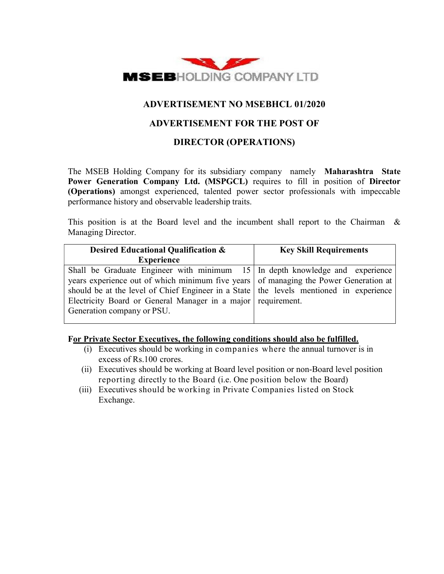

# ADVERTISEMENT NO MSEBHCL 01/2020

# ADVERTISEMENT FOR THE POST OF

# DIRECTOR (OPERATIONS)

The MSEB Holding Company for its subsidiary company namely Maharashtra State Power Generation Company Ltd. (MSPGCL) requires to fill in position of Director (Operations) amongst experienced, talented power sector professionals with impeccable performance history and observable leadership traits.

This position is at the Board level and the incumbent shall report to the Chairman  $\&$ Managing Director.

| Desired Educational Qualification &                                                      | <b>Key Skill Requirements</b> |  |  |  |  |  |  |  |  |
|------------------------------------------------------------------------------------------|-------------------------------|--|--|--|--|--|--|--|--|
| <b>Experience</b>                                                                        |                               |  |  |  |  |  |  |  |  |
| Shall be Graduate Engineer with minimum $15$ In depth knowledge and experience           |                               |  |  |  |  |  |  |  |  |
| years experience out of which minimum five years of managing the Power Generation at     |                               |  |  |  |  |  |  |  |  |
| should be at the level of Chief Engineer in a State   the levels mentioned in experience |                               |  |  |  |  |  |  |  |  |
| Electricity Board or General Manager in a major requirement.                             |                               |  |  |  |  |  |  |  |  |
| Generation company or PSU.                                                               |                               |  |  |  |  |  |  |  |  |
|                                                                                          |                               |  |  |  |  |  |  |  |  |

### For Private Sector Executives, the following conditions should also be fulfilled.

- (i) Executives should be working in companies where the annual turnover is in excess of Rs.100 crores.
- (ii) Executives should be working at Board level position or non-Board level position reporting directly to the Board (i.e. One position below the Board)
- (iii) Executives should be working in Private Companies listed on Stock Exchange.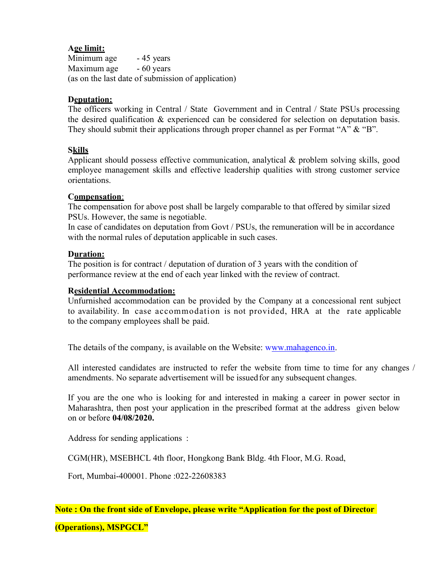## Age limit:

Minimum age - 45 years Maximum age - 60 years (as on the last date of submission of application)

## Deputation:

The officers working in Central / State Government and in Central / State PSUs processing the desired qualification & experienced can be considered for selection on deputation basis. They should submit their applications through proper channel as per Format "A" & "B".

## **Skills**

Applicant should possess effective communication, analytical & problem solving skills, good employee management skills and effective leadership qualities with strong customer service orientations.

### Compensation:

The compensation for above post shall be largely comparable to that offered by similar sized PSUs. However, the same is negotiable.

In case of candidates on deputation from Govt / PSUs, the remuneration will be in accordance with the normal rules of deputation applicable in such cases.

#### Duration:

The position is for contract / deputation of duration of 3 years with the condition of performance review at the end of each year linked with the review of contract.

### **Residential Accommodation:**

Unfurnished accommodation can be provided by the Company at a concessional rent subject to availability. In case accommodation is not provided, HRA at the rate applicable to the company employees shall be paid.

The details of the company, is available on the Website: www.mahagenco.in.

All interested candidates are instructed to refer the website from time to time for any changes / amendments. No separate advertisement will be issued for any subsequent changes.

If you are the one who is looking for and interested in making a career in power sector in Maharashtra, then post your application in the prescribed format at the address given below on or before 04/08/2020.

Address for sending applications :

CGM(HR), MSEBHCL 4th floor, Hongkong Bank Bldg. 4th Floor, M.G. Road,

Fort, Mumbai-400001. Phone :022-22608383

Note : On the front side of Envelope, please write "Application for the post of Director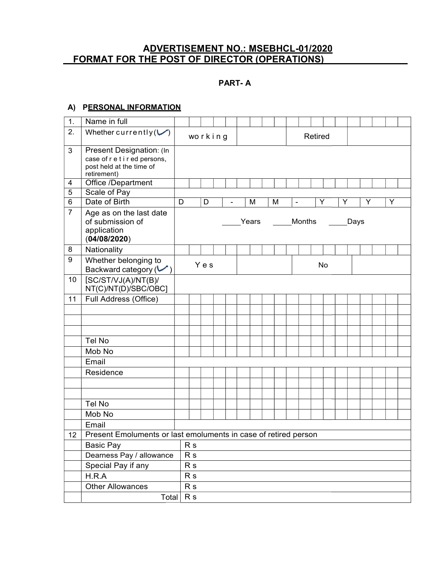#### A<u>DVERTISEMENT NO.: MSEBHCL</u>. FORMAT FOR THE POST OF DIRECTOR DVERTISEMENT NO.: MSEBHCL-01/2020 OF DIRECTOR (OPERATIONS) 01/2020

#### PART- A

#### A) PERSONAL INFORMATION

| 1.              | Name in full                                                                                         |                |         |   |       |   |                          |        |         |    |   |      |   |   |  |
|-----------------|------------------------------------------------------------------------------------------------------|----------------|---------|---|-------|---|--------------------------|--------|---------|----|---|------|---|---|--|
| 2.              | Whether currently $(\vee)$                                                                           |                | working |   |       |   |                          |        | Retired |    |   |      |   |   |  |
| 3               | Present Designation: (In<br>case of r e t i r ed persons,<br>post held at the time of<br>retirement) |                |         |   |       |   |                          |        |         |    |   |      |   |   |  |
| 4               | Office /Department                                                                                   |                |         |   |       |   |                          |        |         |    |   |      |   |   |  |
| 5               | Scale of Pay                                                                                         |                |         |   |       |   |                          |        |         |    |   |      |   |   |  |
| 6               | Date of Birth                                                                                        | D              | D       | ÷ | M     | M | $\overline{\phantom{a}}$ |        |         | Υ  | Υ |      | Y | Υ |  |
| $\overline{7}$  | Age as on the last date<br>of submission of<br>application<br>(04/08/2020)                           |                |         |   | Years |   |                          | Months |         |    |   | Days |   |   |  |
| 8               | Nationality                                                                                          |                |         |   |       |   |                          |        |         |    |   |      |   |   |  |
| 9               | Whether belonging to<br>Backward category $(\vee)$                                                   |                | Yes     |   |       |   |                          |        |         | No |   |      |   |   |  |
| 10 <sup>°</sup> | [SC/ST/VJ(A)/NT(B)]<br>NT(C)/NT(D)/SBC/OBC]                                                          |                |         |   |       |   |                          |        |         |    |   |      |   |   |  |
| 11              | Full Address (Office)                                                                                |                |         |   |       |   |                          |        |         |    |   |      |   |   |  |
|                 |                                                                                                      |                |         |   |       |   |                          |        |         |    |   |      |   |   |  |
|                 |                                                                                                      |                |         |   |       |   |                          |        |         |    |   |      |   |   |  |
|                 |                                                                                                      |                |         |   |       |   |                          |        |         |    |   |      |   |   |  |
|                 | Tel No                                                                                               |                |         |   |       |   |                          |        |         |    |   |      |   |   |  |
|                 | Mob No                                                                                               |                |         |   |       |   |                          |        |         |    |   |      |   |   |  |
|                 | Email                                                                                                |                |         |   |       |   |                          |        |         |    |   |      |   |   |  |
|                 | Residence                                                                                            |                |         |   |       |   |                          |        |         |    |   |      |   |   |  |
|                 |                                                                                                      |                |         |   |       |   |                          |        |         |    |   |      |   |   |  |
|                 |                                                                                                      |                |         |   |       |   |                          |        |         |    |   |      |   |   |  |
|                 | Tel No                                                                                               |                |         |   |       |   |                          |        |         |    |   |      |   |   |  |
|                 | Mob No                                                                                               |                |         |   |       |   |                          |        |         |    |   |      |   |   |  |
|                 | Email                                                                                                |                |         |   |       |   |                          |        |         |    |   |      |   |   |  |
| 12              | Present Emoluments or last emoluments in case of retired person                                      |                |         |   |       |   |                          |        |         |    |   |      |   |   |  |
|                 | <b>Basic Pay</b>                                                                                     | R <sub>s</sub> |         |   |       |   |                          |        |         |    |   |      |   |   |  |
|                 | Dearness Pay / allowance                                                                             | R <sub>s</sub> |         |   |       |   |                          |        |         |    |   |      |   |   |  |
|                 | Special Pay if any                                                                                   | R <sub>s</sub> |         |   |       |   |                          |        |         |    |   |      |   |   |  |
|                 | H.R.A                                                                                                | R <sub>s</sub> |         |   |       |   |                          |        |         |    |   |      |   |   |  |
|                 | <b>Other Allowances</b>                                                                              | R <sub>s</sub> |         |   |       |   |                          |        |         |    |   |      |   |   |  |
|                 | Total                                                                                                | R <sub>s</sub> |         |   |       |   |                          |        |         |    |   |      |   |   |  |
|                 |                                                                                                      |                |         |   |       |   |                          |        |         |    |   |      |   |   |  |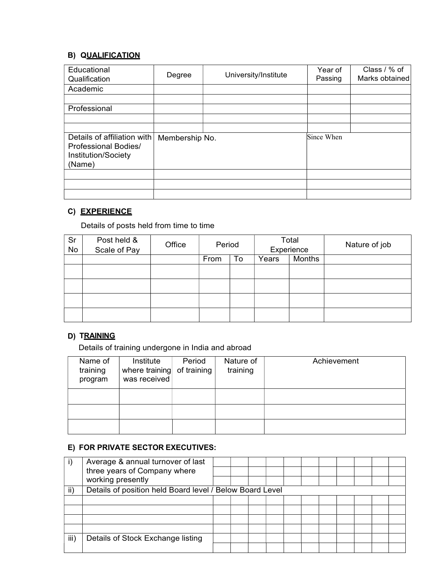## **B) QUALIFICATION**

| Educational<br>Qualification                                                         | Degree         | University/Institute | Year of<br>Passing | Class / % of<br>Marks obtained |  |
|--------------------------------------------------------------------------------------|----------------|----------------------|--------------------|--------------------------------|--|
| Academic                                                                             |                |                      |                    |                                |  |
|                                                                                      |                |                      |                    |                                |  |
| Professional                                                                         |                |                      |                    |                                |  |
|                                                                                      |                |                      |                    |                                |  |
| Details of affiliation with<br>Professional Bodies/<br>Institution/Society<br>(Name) | Membership No. |                      | Since When         |                                |  |
|                                                                                      |                |                      |                    |                                |  |
|                                                                                      |                |                      |                    |                                |  |
|                                                                                      |                |                      |                    |                                |  |

# C) EXPERIENCE

Details of posts held from time to time

| Sr<br>No | Post held &<br>Scale of Pay | Office | Period |    |                 | Total<br>Experience | Nature of job |  |  |  |
|----------|-----------------------------|--------|--------|----|-----------------|---------------------|---------------|--|--|--|
|          |                             |        | From   | To | Months<br>Years |                     |               |  |  |  |
|          |                             |        |        |    |                 |                     |               |  |  |  |
|          |                             |        |        |    |                 |                     |               |  |  |  |
|          |                             |        |        |    |                 |                     |               |  |  |  |
|          |                             |        |        |    |                 |                     |               |  |  |  |
|          |                             |        |        |    |                 |                     |               |  |  |  |

# D) TRAINING

Details of training undergone in India and abroad

| Name of<br>training<br>program | Institute<br>where training of training<br>was received | Period | Nature of<br>training | Achievement |
|--------------------------------|---------------------------------------------------------|--------|-----------------------|-------------|
|                                |                                                         |        |                       |             |
|                                |                                                         |        |                       |             |
|                                |                                                         |        |                       |             |

## E) FOR PRIVATE SECTOR EXECUTIVES:

|      | Average & annual turnover of last<br>three years of Company where<br>working presently |  |  |  |  |  |  |
|------|----------------------------------------------------------------------------------------|--|--|--|--|--|--|
| ii)  | Details of position held Board level / Below Board Level                               |  |  |  |  |  |  |
|      |                                                                                        |  |  |  |  |  |  |
|      |                                                                                        |  |  |  |  |  |  |
|      |                                                                                        |  |  |  |  |  |  |
|      |                                                                                        |  |  |  |  |  |  |
| iii) | Details of Stock Exchange listing                                                      |  |  |  |  |  |  |
|      |                                                                                        |  |  |  |  |  |  |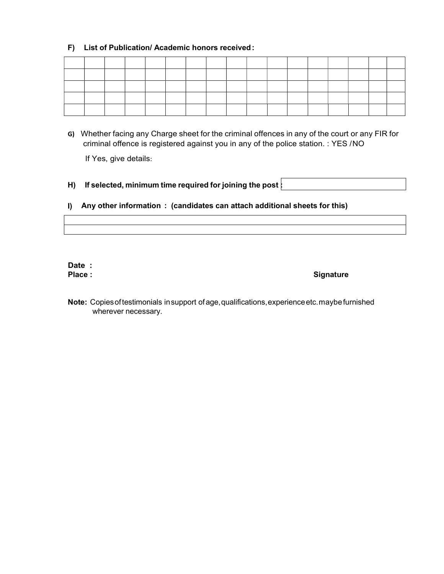### F) List of Publication/ Academic honors received :

G) Whether facing any Charge sheet for the criminal offences in any of the court or any FIR for criminal offence is registered against you in any of the police station. : YES / NO

If Yes, give details:

H) If selected, minimum time required for joining the post  $\vdots$ 

#### I) Any other information : (candidates can attach additional sheets for this)

Date :

#### Place : Signature : Signature : Signature : Signature : Signature : Signature : Signature : Signature : Signature : Signature : Signature : Signature : Signature : Signature : Signature : Signature : Signature : Signature

Note: Copies of testimonials in support of age, qualifications, experience etc. maybe furnished wherever necessary.